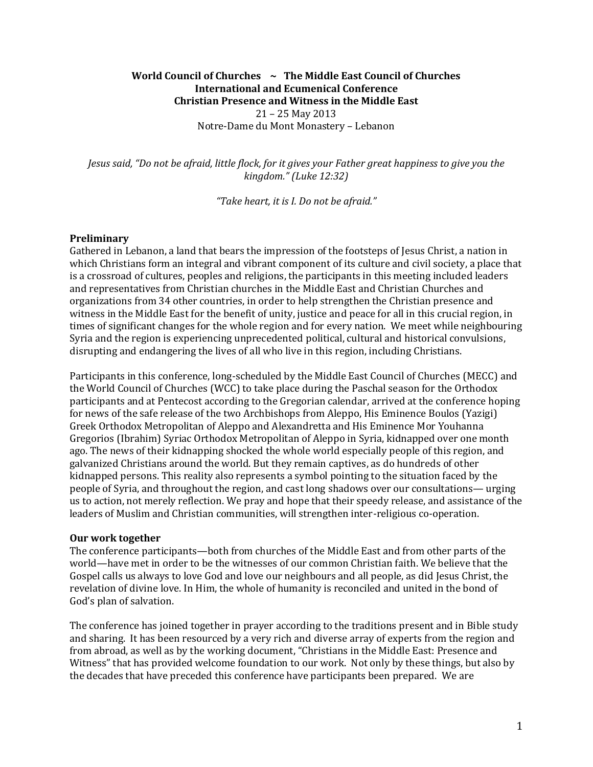# **World Council of Churches ~ The Middle East Council of Churches International and Ecumenical Conference Christian Presence and Witness in the Middle East** 21 – 25 May 2013 Notre-Dame du Mont Monastery – Lebanon

*Jesus said, "Do not be afraid, little flock, for it gives your Father great happiness to give you the kingdom." (Luke 12:32)*

*"Take heart, it is I. Do not be afraid."*

#### **Preliminary**

Gathered in Lebanon, a land that bears the impression of the footsteps of Jesus Christ, a nation in which Christians form an integral and vibrant component of its culture and civil society, a place that is a crossroad of cultures, peoples and religions, the participants in this meeting included leaders and representatives from Christian churches in the Middle East and Christian Churches and organizations from 34 other countries, in order to help strengthen the Christian presence and witness in the Middle East for the benefit of unity, justice and peace for all in this crucial region, in times of significant changes for the whole region and for every nation. We meet while neighbouring Syria and the region is experiencing unprecedented political, cultural and historical convulsions, disrupting and endangering the lives of all who live in this region, including Christians.

Participants in this conference, long-scheduled by the Middle East Council of Churches (MECC) and the World Council of Churches (WCC) to take place during the Paschal season for the Orthodox participants and at Pentecost according to the Gregorian calendar, arrived at the conference hoping for news of the safe release of the two Archbishops from Aleppo, His Eminence Boulos (Yazigi) Greek Orthodox Metropolitan of Aleppo and Alexandretta and His Eminence Mor Youhanna Gregorios (Ibrahim) Syriac Orthodox Metropolitan of Aleppo in Syria, kidnapped over one month ago. The news of their kidnapping shocked the whole world especially people of this region, and galvanized Christians around the world. But they remain captives, as do hundreds of other kidnapped persons. This reality also represents a symbol pointing to the situation faced by the people of Syria, and throughout the region, and cast long shadows over our consultations— urging us to action, not merely reflection. We pray and hope that their speedy release, and assistance of the leaders of Muslim and Christian communities, will strengthen inter-religious co-operation.

#### **Our work together**

The conference participants—both from churches of the Middle East and from other parts of the world—have met in order to be the witnesses of our common Christian faith. We believe that the Gospel calls us always to love God and love our neighbours and all people, as did Jesus Christ, the revelation of divine love. In Him, the whole of humanity is reconciled and united in the bond of God's plan of salvation.

The conference has joined together in prayer according to the traditions present and in Bible study and sharing. It has been resourced by a very rich and diverse array of experts from the region and from abroad, as well as by the working document, "Christians in the Middle East: Presence and Witness" that has provided welcome foundation to our work. Not only by these things, but also by the decades that have preceded this conference have participants been prepared. We are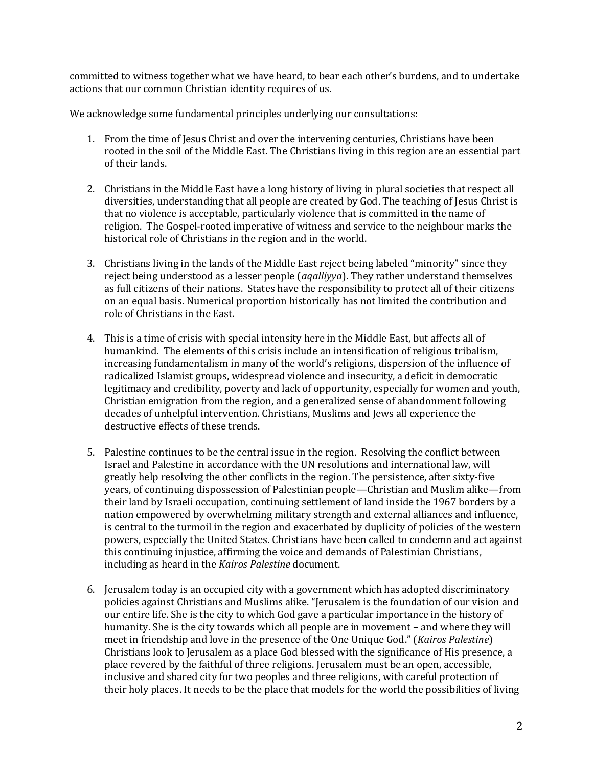committed to witness together what we have heard, to bear each other's burdens, and to undertake actions that our common Christian identity requires of us.

We acknowledge some fundamental principles underlying our consultations:

- 1. From the time of Jesus Christ and over the intervening centuries, Christians have been rooted in the soil of the Middle East. The Christians living in this region are an essential part of their lands.
- 2. Christians in the Middle East have a long history of living in plural societies that respect all diversities, understanding that all people are created by God. The teaching of Jesus Christ is that no violence is acceptable, particularly violence that is committed in the name of religion. The Gospel-rooted imperative of witness and service to the neighbour marks the historical role of Christians in the region and in the world.
- 3. Christians living in the lands of the Middle East reject being labeled "minority" since they reject being understood as a lesser people (*aqalliyya*). They rather understand themselves as full citizens of their nations. States have the responsibility to protect all of their citizens on an equal basis. Numerical proportion historically has not limited the contribution and role of Christians in the East.
- 4. This is a time of crisis with special intensity here in the Middle East, but affects all of humankind. The elements of this crisis include an intensification of religious tribalism, increasing fundamentalism in many of the world's religions, dispersion of the influence of radicalized Islamist groups, widespread violence and insecurity, a deficit in democratic legitimacy and credibility, poverty and lack of opportunity, especially for women and youth, Christian emigration from the region, and a generalized sense of abandonment following decades of unhelpful intervention. Christians, Muslims and Jews all experience the destructive effects of these trends.
- 5. Palestine continues to be the central issue in the region. Resolving the conflict between Israel and Palestine in accordance with the UN resolutions and international law, will greatly help resolving the other conflicts in the region. The persistence, after sixty-five years, of continuing dispossession of Palestinian people—Christian and Muslim alike—from their land by Israeli occupation, continuing settlement of land inside the 1967 borders by a nation empowered by overwhelming military strength and external alliances and influence, is central to the turmoil in the region and exacerbated by duplicity of policies of the western powers, especially the United States. Christians have been called to condemn and act against this continuing injustice, affirming the voice and demands of Palestinian Christians, including as heard in the *Kairos Palestine* document.
- 6. Jerusalem today is an occupied city with a government which has adopted discriminatory policies against Christians and Muslims alike. "Jerusalem is the foundation of our vision and our entire life. She is the city to which God gave a particular importance in the history of humanity. She is the city towards which all people are in movement – and where they will meet in friendship and love in the presence of the One Unique God." (*Kairos Palestine*) Christians look to Jerusalem as a place God blessed with the significance of His presence, a place revered by the faithful of three religions. Jerusalem must be an open, accessible, inclusive and shared city for two peoples and three religions, with careful protection of their holy places. It needs to be the place that models for the world the possibilities of living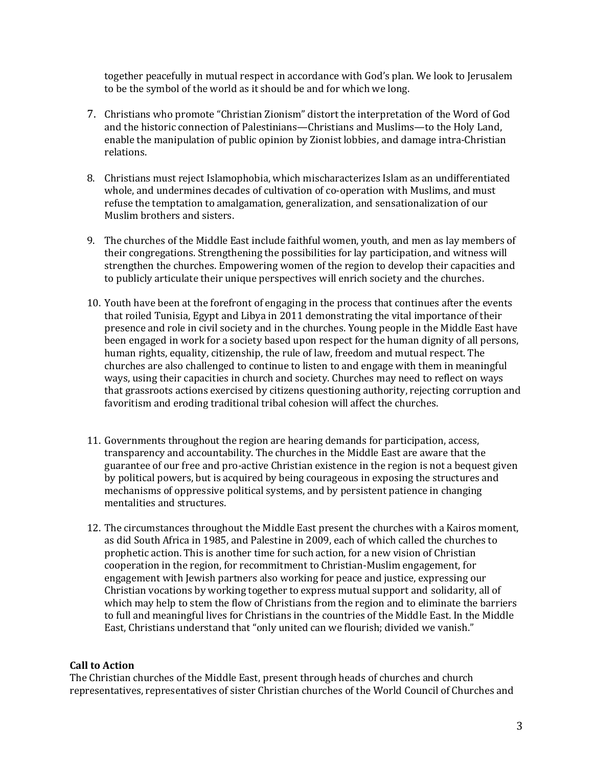together peacefully in mutual respect in accordance with God's plan. We look to Jerusalem to be the symbol of the world as it should be and for which we long.

- 7. Christians who promote "Christian Zionism" distort the interpretation of the Word of God and the historic connection of Palestinians—Christians and Muslims—to the Holy Land, enable the manipulation of public opinion by Zionist lobbies, and damage intra-Christian relations.
- 8. Christians must reject Islamophobia, which mischaracterizes Islam as an undifferentiated whole, and undermines decades of cultivation of co-operation with Muslims, and must refuse the temptation to amalgamation, generalization, and sensationalization of our Muslim brothers and sisters.
- 9. The churches of the Middle East include faithful women, youth, and men as lay members of their congregations. Strengthening the possibilities for lay participation, and witness will strengthen the churches. Empowering women of the region to develop their capacities and to publicly articulate their unique perspectives will enrich society and the churches.
- 10. Youth have been at the forefront of engaging in the process that continues after the events that roiled Tunisia, Egypt and Libya in 2011 demonstrating the vital importance of their presence and role in civil society and in the churches. Young people in the Middle East have been engaged in work for a society based upon respect for the human dignity of all persons, human rights, equality, citizenship, the rule of law, freedom and mutual respect. The churches are also challenged to continue to listen to and engage with them in meaningful ways, using their capacities in church and society. Churches may need to reflect on ways that grassroots actions exercised by citizens questioning authority, rejecting corruption and favoritism and eroding traditional tribal cohesion will affect the churches.
- 11. Governments throughout the region are hearing demands for participation, access, transparency and accountability. The churches in the Middle East are aware that the guarantee of our free and pro-active Christian existence in the region is not a bequest given by political powers, but is acquired by being courageous in exposing the structures and mechanisms of oppressive political systems, and by persistent patience in changing mentalities and structures.
- 12. The circumstances throughout the Middle East present the churches with a Kairos moment, as did South Africa in 1985, and Palestine in 2009, each of which called the churches to prophetic action. This is another time for such action, for a new vision of Christian cooperation in the region, for recommitment to Christian-Muslim engagement, for engagement with Jewish partners also working for peace and justice, expressing our Christian vocations by working together to express mutual support and solidarity, all of which may help to stem the flow of Christians from the region and to eliminate the barriers to full and meaningful lives for Christians in the countries of the Middle East. In the Middle East, Christians understand that "only united can we flourish; divided we vanish."

# **Call to Action**

The Christian churches of the Middle East, present through heads of churches and church representatives, representatives of sister Christian churches of the World Council of Churches and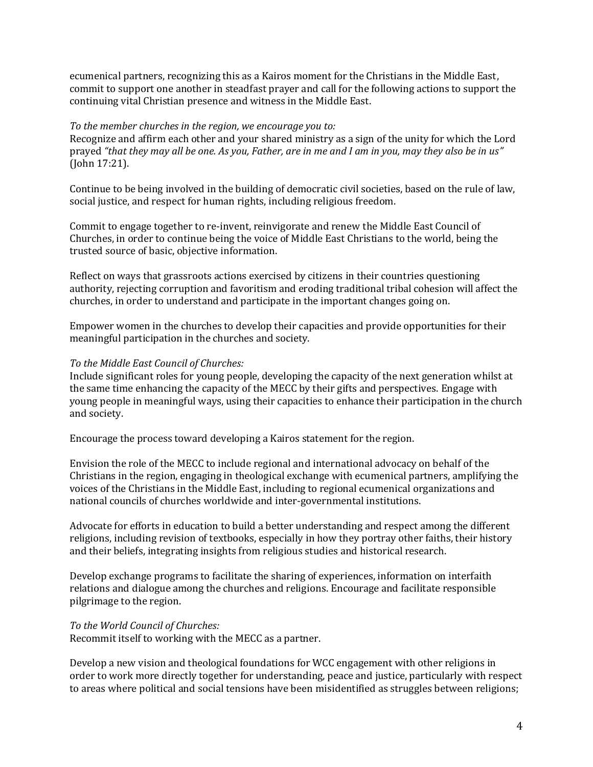ecumenical partners, recognizing this as a Kairos moment for the Christians in the Middle East, commit to support one another in steadfast prayer and call for the following actions to support the continuing vital Christian presence and witness in the Middle East.

### *To the member churches in the region, we encourage you to:*

Recognize and affirm each other and your shared ministry as a sign of the unity for which the Lord prayed *"that they may all be one. As you, Father, are in me and I am in you, may they also be in us"* (John 17:21).

Continue to be being involved in the building of democratic civil societies, based on the rule of law, social justice, and respect for human rights, including religious freedom.

Commit to engage together to re-invent, reinvigorate and renew the Middle East Council of Churches, in order to continue being the voice of Middle East Christians to the world, being the trusted source of basic, objective information.

Reflect on ways that grassroots actions exercised by citizens in their countries questioning authority, rejecting corruption and favoritism and eroding traditional tribal cohesion will affect the churches, in order to understand and participate in the important changes going on.

Empower women in the churches to develop their capacities and provide opportunities for their meaningful participation in the churches and society.

# *To the Middle East Council of Churches:*

Include significant roles for young people, developing the capacity of the next generation whilst at the same time enhancing the capacity of the MECC by their gifts and perspectives. Engage with young people in meaningful ways, using their capacities to enhance their participation in the church and society.

Encourage the process toward developing a Kairos statement for the region.

Envision the role of the MECC to include regional and international advocacy on behalf of the Christians in the region, engaging in theological exchange with ecumenical partners, amplifying the voices of the Christians in the Middle East, including to regional ecumenical organizations and national councils of churches worldwide and inter-governmental institutions.

Advocate for efforts in education to build a better understanding and respect among the different religions, including revision of textbooks, especially in how they portray other faiths, their history and their beliefs, integrating insights from religious studies and historical research.

Develop exchange programs to facilitate the sharing of experiences, information on interfaith relations and dialogue among the churches and religions. Encourage and facilitate responsible pilgrimage to the region.

# *To the World Council of Churches:*

Recommit itself to working with the MECC as a partner.

Develop a new vision and theological foundations for WCC engagement with other religions in order to work more directly together for understanding, peace and justice, particularly with respect to areas where political and social tensions have been misidentified as struggles between religions;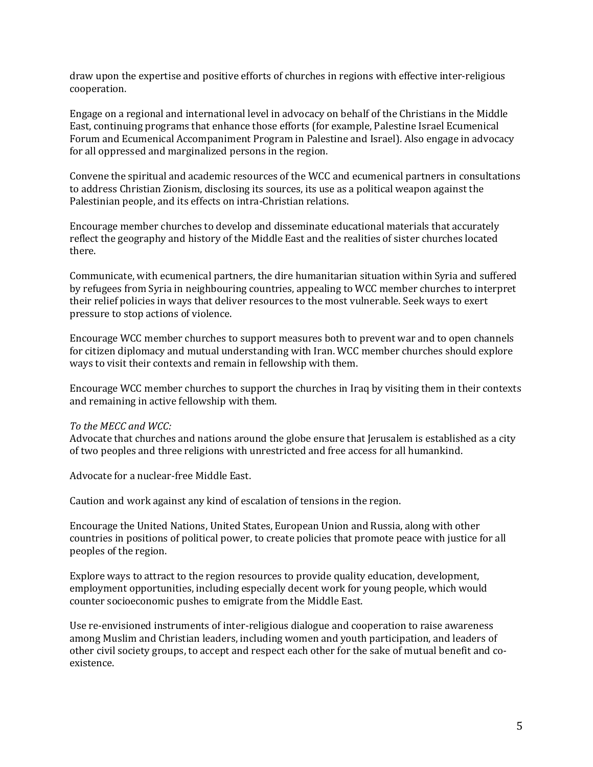draw upon the expertise and positive efforts of churches in regions with effective inter-religious cooperation.

Engage on a regional and international level in advocacy on behalf of the Christians in the Middle East, continuing programs that enhance those efforts (for example, Palestine Israel Ecumenical Forum and Ecumenical Accompaniment Program in Palestine and Israel). Also engage in advocacy for all oppressed and marginalized persons in the region.

Convene the spiritual and academic resources of the WCC and ecumenical partners in consultations to address Christian Zionism, disclosing its sources, its use as a political weapon against the Palestinian people, and its effects on intra-Christian relations.

Encourage member churches to develop and disseminate educational materials that accurately reflect the geography and history of the Middle East and the realities of sister churches located there.

Communicate, with ecumenical partners, the dire humanitarian situation within Syria and suffered by refugees from Syria in neighbouring countries, appealing to WCC member churches to interpret their relief policies in ways that deliver resources to the most vulnerable. Seek ways to exert pressure to stop actions of violence.

Encourage WCC member churches to support measures both to prevent war and to open channels for citizen diplomacy and mutual understanding with Iran. WCC member churches should explore ways to visit their contexts and remain in fellowship with them.

Encourage WCC member churches to support the churches in Iraq by visiting them in their contexts and remaining in active fellowship with them.

# *To the MECC and WCC:*

Advocate that churches and nations around the globe ensure that Jerusalem is established as a city of two peoples and three religions with unrestricted and free access for all humankind.

Advocate for a nuclear-free Middle East.

Caution and work against any kind of escalation of tensions in the region.

Encourage the United Nations, United States, European Union and Russia, along with other countries in positions of political power, to create policies that promote peace with justice for all peoples of the region.

Explore ways to attract to the region resources to provide quality education, development, employment opportunities, including especially decent work for young people, which would counter socioeconomic pushes to emigrate from the Middle East.

Use re-envisioned instruments of inter-religious dialogue and cooperation to raise awareness among Muslim and Christian leaders, including women and youth participation, and leaders of other civil society groups, to accept and respect each other for the sake of mutual benefit and coexistence.